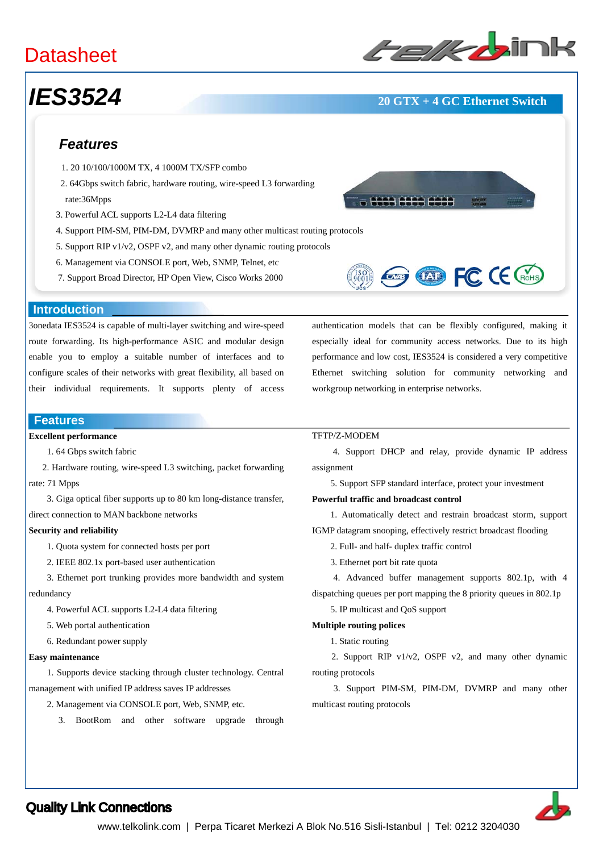## **Datasheet**

# *IES3524* **20 GTX + 4 GC Ethernet Switch**

# ﹥﹥**Layer-3 Ethernet Switches**

## *Features*

- 1. 20 10/100/1000M TX, 4 1000M TX/SFP combo
- 2. 64Gbps switch fabric, hardware routing, wire-speed L3 forwarding rate:36Mpps
- 3. Powerful ACL supports L2-L4 data filtering
- 4. Support PIM-SM, PIM-DM, DVMRP and many other multicast routing protocols
- 5. Support RIP v1/v2, OSPF v2, and many other dynamic routing protocols
- 6. Management via CONSOLE port, Web, SNMP, Telnet, etc
- 7. Support Broad Director, HP Open View, Cisco Works 2000





#### **Introduction**

3onedata IES3524 is capable of multi-layer switching and wire-speed route forwarding. Its high-performance ASIC and modular design enable you to employ a suitable number of interfaces and to configure scales of their networks with great flexibility, all based on their individual requirements. It supports plenty of access

## **Features**

#### **Excellent performance**

1. 64 Gbps switch fabric

 2. Hardware routing, wire-speed L3 switching, packet forwarding rate: 71 Mpps

 3. Giga optical fiber supports up to 80 km long-distance transfer, direct connection to MAN backbone networks

#### **Security and reliability**

- 1. Quota system for connected hosts per port
- 2. IEEE 802.1x port-based user authentication
- 3. Ethernet port trunking provides more bandwidth and system redundancy
	- 4. Powerful ACL supports L2-L4 data filtering
	- 5. Web portal authentication
	- 6. Redundant power supply

#### **Easy maintenance**

 1. Supports device stacking through cluster technology. Central management with unified IP address saves IP addresses

- 2. Management via CONSOLE port, Web, SNMP, etc.
	- 3. BootRom and other software upgrade through

authentication models that can be flexibly configured, making it especially ideal for community access networks. Due to its high performance and low cost, IES3524 is considered a very competitive Ethernet switching solution for community networking and workgroup networking in enterprise networks.

### TFTP/Z-MODEM

 4. Support DHCP and relay, provide dynamic IP address assignment

5. Support SFP standard interface, protect your investment

#### **Powerful traffic and broadcast control**

 1. Automatically detect and restrain broadcast storm, support IGMP datagram snooping, effectively restrict broadcast flooding

2. Full- and half- duplex traffic control

3. Ethernet port bit rate quota

 4. Advanced buffer management supports 802.1p, with 4 dispatching queues per port mapping the 8 priority queues in 802.1p

5. IP multicast and QoS support

#### **Multiple routing polices**

1. Static routing

 2. Support RIP v1/v2, OSPF v2, and many other dynamic routing protocols

 3. Support PIM-SM, PIM-DM, DVMRP and many other multicast routing protocols



## Quality Link Connections